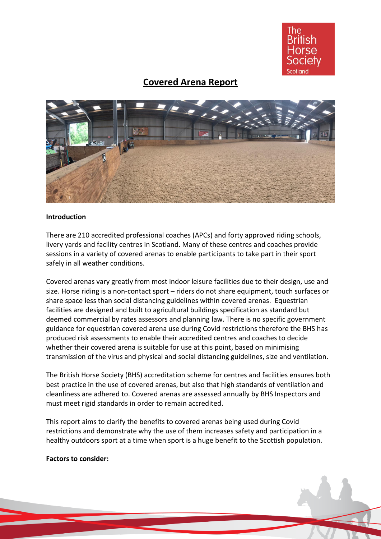

# **Covered Arena Report**



## **Introduction**

There are 210 accredited professional coaches (APCs) and forty approved riding schools, livery yards and facility centres in Scotland. Many of these centres and coaches provide sessions in a variety of covered arenas to enable participants to take part in their sport safely in all weather conditions.

Covered arenas vary greatly from most indoor leisure facilities due to their design, use and size. Horse riding is a non-contact sport – riders do not share equipment, touch surfaces or share space less than social distancing guidelines within covered arenas. Equestrian facilities are designed and built to agricultural buildings specification as standard but deemed commercial by rates assessors and planning law. There is no specific government guidance for equestrian covered arena use during Covid restrictions therefore the BHS has produced risk assessments to enable their accredited centres and coaches to decide whether their covered arena is suitable for use at this point, based on minimising transmission of the virus and physical and social distancing guidelines, size and ventilation.

The British Horse Society (BHS) accreditation scheme for centres and facilities ensures both best practice in the use of covered arenas, but also that high standards of ventilation and cleanliness are adhered to. Covered arenas are assessed annually by BHS Inspectors and must meet rigid standards in order to remain accredited.

This report aims to clarify the benefits to covered arenas being used during Covid restrictions and demonstrate why the use of them increases safety and participation in a healthy outdoors sport at a time when sport is a huge benefit to the Scottish population.

#### **Factors to consider:**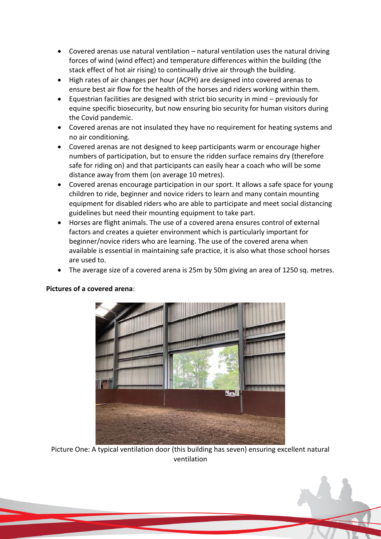- Covered arenas use natural ventilation natural ventilation uses the natural driving forces of wind (wind effect) and temperature differences within the building (the stack effect of hot air rising) to continually drive air through the building.
- High rates of air changes per hour (ACPH) are designed into covered arenas to ensure best air flow for the health of the horses and riders working within them.
- Equestrian facilities are designed with strict bio security in mind previously for equine specific biosecurity, but now ensuring bio security for human visitors during the Covid pandemic.
- Covered arenas are not insulated they have no requirement for heating systems and no air conditioning.
- Covered arenas are not designed to keep participants warm or encourage higher numbers of participation, but to ensure the ridden surface remains dry (therefore safe for riding on) and that participants can easily hear a coach who will be some distance away from them (on average 10 metres).
- Covered arenas encourage participation in our sport. It allows a safe space for young children to ride, beginner and novice riders to learn and many contain mounting equipment for disabled riders who are able to participate and meet social distancing guidelines but need their mounting equipment to take part.
- Horses are flight animals. The use of a covered arena ensures control of external factors and creates a quieter environment which is particularly important for beginner/novice riders who are learning. The use of the covered arena when available is essential in maintaining safe practice, it is also what those school horses are used to.
- The average size of a covered arena is 25m by 50m giving an area of 1250 sq. metres.



# **Pictures of a covered arena**:

Picture One: A typical ventilation door (this building has seven) ensuring excellent natural ventilation

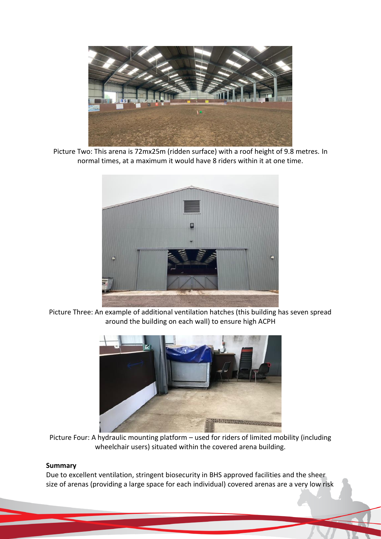

Picture Two: This arena is 72mx25m (ridden surface) with a roof height of 9.8 metres. In normal times, at a maximum it would have 8 riders within it at one time.



Picture Three: An example of additional ventilation hatches (this building has seven spread around the building on each wall) to ensure high ACPH



Picture Four: A hydraulic mounting platform – used for riders of limited mobility (including wheelchair users) situated within the covered arena building.

## **Summary**

Due to excellent ventilation, stringent biosecurity in BHS approved facilities and the sheer size of arenas (providing a large space for each individual) covered arenas are a very low risk